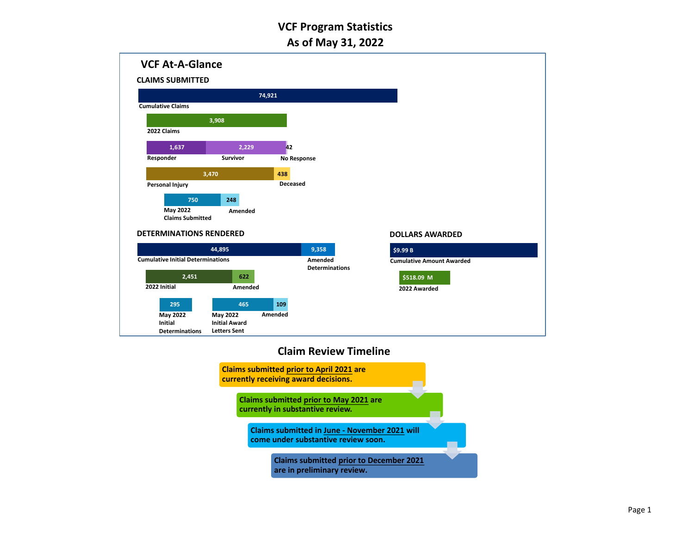

### **Claim Review Timeline**

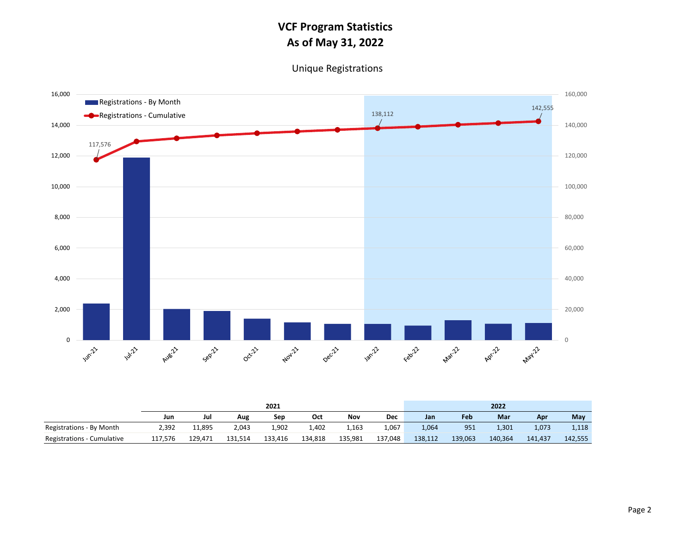Unique Registrations



|                            |         | 2021    |         |         |         |         |         |         |         | 2022    |         |         |  |  |  |
|----------------------------|---------|---------|---------|---------|---------|---------|---------|---------|---------|---------|---------|---------|--|--|--|
|                            | Jun     | Jul     | Aug     | Sep     | Oct     | Nov     | Dec     | Jan     | Feb     | Mar     | Apr     | May     |  |  |  |
| Registrations - By Month   | 2,392   | 11,895  | 2,043   | 1,902   | 1,402   | 1,163   | 1,067   | 1,064   | 951     | 1,301   | 1,073   | 1,118   |  |  |  |
| Registrations - Cumulative | 117,576 | 129.471 | 131,514 | 133,416 | 134,818 | 135,981 | 137,048 | 138,112 | 139,063 | 140,364 | 141.437 | 142,555 |  |  |  |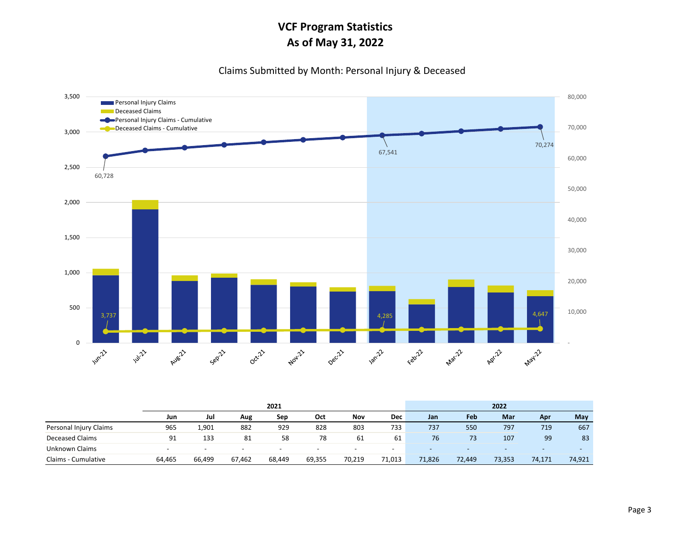#### Claims Submitted by Month: Personal Injury & Deceased



|                        |                          |                          |                          | 2021                     | 2022                     |                          |                          |                          |        |        |                          |                          |
|------------------------|--------------------------|--------------------------|--------------------------|--------------------------|--------------------------|--------------------------|--------------------------|--------------------------|--------|--------|--------------------------|--------------------------|
|                        | Jun                      | Jul                      | Aug                      | Sep                      | Oct                      | Nov                      | <b>Dec</b>               | Jan                      | Feb    | Mar    | Apr                      | May                      |
| Personal Injury Claims | 965                      | 1,901                    | 882                      | 929                      | 828                      | 803                      | 733                      | 737                      | 550    | 797    | 719                      | 667                      |
| <b>Deceased Claims</b> | 91                       | 133                      | 81                       | 58                       | 78                       | 61                       | 61                       | 76                       | 73     | 107    | 99                       | 83                       |
| Unknown Claims         | $\overline{\phantom{0}}$ | $\overline{\phantom{0}}$ | $\overline{\phantom{0}}$ | $\overline{\phantom{0}}$ | $\overline{\phantom{0}}$ | $\overline{\phantom{0}}$ | $\overline{\phantom{a}}$ | $\overline{\phantom{a}}$ | $\sim$ | $\sim$ | $\overline{\phantom{0}}$ | $\overline{\phantom{0}}$ |
| Claims - Cumulative    | 64,465                   | 66,499                   | 67,462                   | 68.449                   | 69.355                   | 70.219                   | 71,013                   | 71,826                   | 72,449 | 73,353 | 74,171                   | 74,921                   |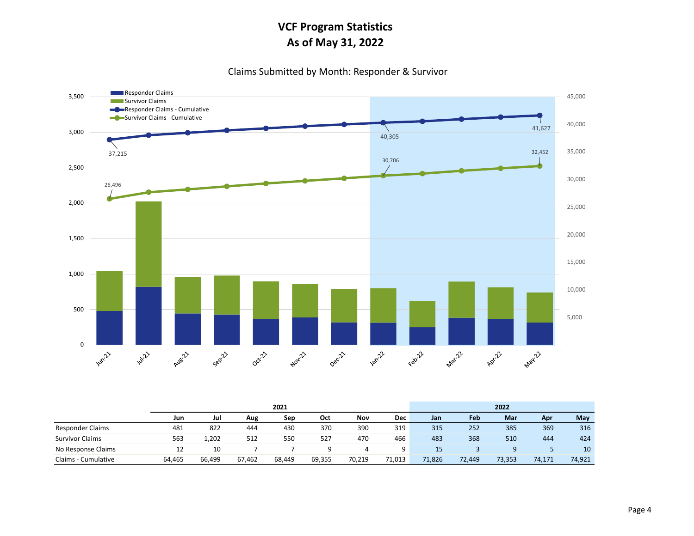Claims Submitted by Month: Responder & Survivor



|                         |        |        |        | 2021   | 2022   |        |        |        |        |            |        |        |
|-------------------------|--------|--------|--------|--------|--------|--------|--------|--------|--------|------------|--------|--------|
|                         | Jun    | Jul    | Aug    | Sep    | Oct    | Nov    | Dec    | Jan    | Feb    | <b>Mar</b> | Apr    | May    |
| <b>Responder Claims</b> | 481    | 822    | 444    | 430    | 370    | 390    | 319    | 315    | 252    | 385        | 369    | 316    |
| <b>Survivor Claims</b>  | 563    | 1,202  | 512    | 550    | 527    | 470    | 466    | 483    | 368    | 510        | 444    | 424    |
| No Response Claims      | 12     | 10     |        |        |        | 4      | q      | 15     |        |            |        | 10     |
| Claims - Cumulative     | 64,465 | 66,499 | 67,462 | 68,449 | 69.355 | 70.219 | 71,013 | 71,826 | 72,449 | 73,353     | 74,171 | 74,921 |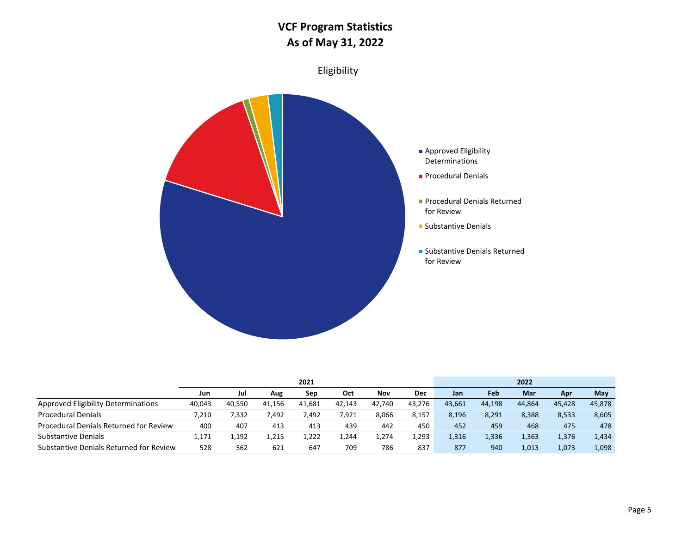

|                                         |        |        |        |        | 2022   |        |            |        |        |        |        |        |
|-----------------------------------------|--------|--------|--------|--------|--------|--------|------------|--------|--------|--------|--------|--------|
|                                         | Jun    | Jul    | Aug    | Sep    | Oct    | Nov    | <b>Dec</b> | Jan    | Feb    | Mar    | Apr    | May    |
| Approved Eligibility Determinations     | 40,043 | 40.550 | 41.156 | 41,681 | 42,143 | 42.740 | 43.276     | 43.661 | 44,198 | 44.864 | 45.428 | 45,878 |
| <b>Procedural Denials</b>               | 7.210  | 332,   | 7.492  | 492.'  | 7,921  | 8,066  | 8,157      | 8,196  | 8.291  | 8,388  | 8,533  | 8,605  |
| Procedural Denials Returned for Review  | 400    | 407    | 413    | 413    | 439    | 442    | 450        | 452    | 459    | 468    | 475    | 478    |
| <b>Substantive Denials</b>              | 1.171  | .,192  | 1,215  | 1,222  | 244ء   | 1,274  | 1,293      | 1,316  | 1,336  | 1,363  | 1,376  | 1,434  |
| Substantive Denials Returned for Review | 528    | 562    | 621    | 647    | 709    | 786    | 837        | 877    | 940    | 1,013  | 1,073  | 1,098  |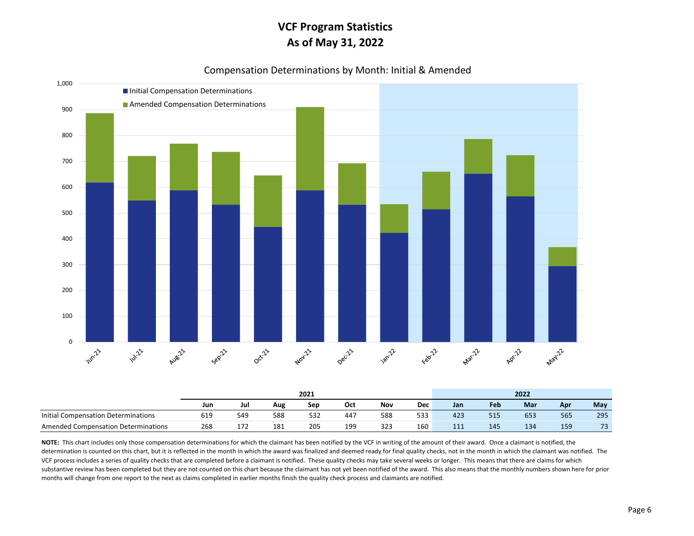



|                                     |     |     |     | 2021 | 2022 |     |            |     |     |     |     |     |
|-------------------------------------|-----|-----|-----|------|------|-----|------------|-----|-----|-----|-----|-----|
|                                     | Jun | Jul | Aug | Sep  | Oct  | Nov | <b>Dec</b> | Jan | Feb | Mar | Apr | May |
| Initial Compensation Determinations | 619 | 549 | 588 | 532  | 447  | 588 | 533        | 423 | 515 | 653 | 565 | 295 |
| Amended Compensation Determinations | 268 | 172 | 181 | 205  | 199  | 323 | 160        | 111 | 145 | 134 | 159 | 73  |

NOTE: This chart includes only those compensation determinations for which the claimant has been notified by the VCF in writing of the amount of their award. Once a claimant is notified, the determination is counted on this chart, but it is reflected in the month in which the award was finalized and deemed ready for final quality checks, not in the month in which the claimant was notified. The VCF process includes a series of quality checks that are completed before a claimant is notified. These quality checks may take several weeks or longer. This means that there are claims for which substantive review has been completed but they are not counted on this chart because the claimant has not yet been notified of the award. This also means that the monthly numbers shown here for prior months will change from one report to the next as claims completed in earlier months finish the quality check process and claimants are notified.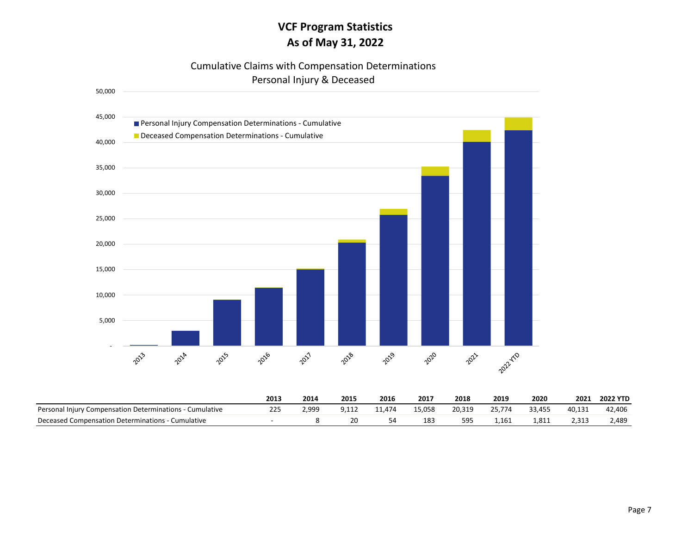### Cumulative Claims with Compensation Determinations Personal Injury & Deceased



|                                                          | 2013 | 2014  | 2015 | 2016   | 2017   | 2018   | 2019   | 2020   | 2021   | <b>2022 YTD</b> |
|----------------------------------------------------------|------|-------|------|--------|--------|--------|--------|--------|--------|-----------------|
| Personal Injury Compensation Determinations - Cumulative | 225  | 2,999 |      | 11.474 | 15,058 | 20,319 | 25.774 | 33,455 | 40,131 | 42,406          |
| Deceased Compensation Determinations - C<br>- Cumulative |      |       | 20   |        | 183    | 595    | 1.161  | 1,811  |        | 2,489           |